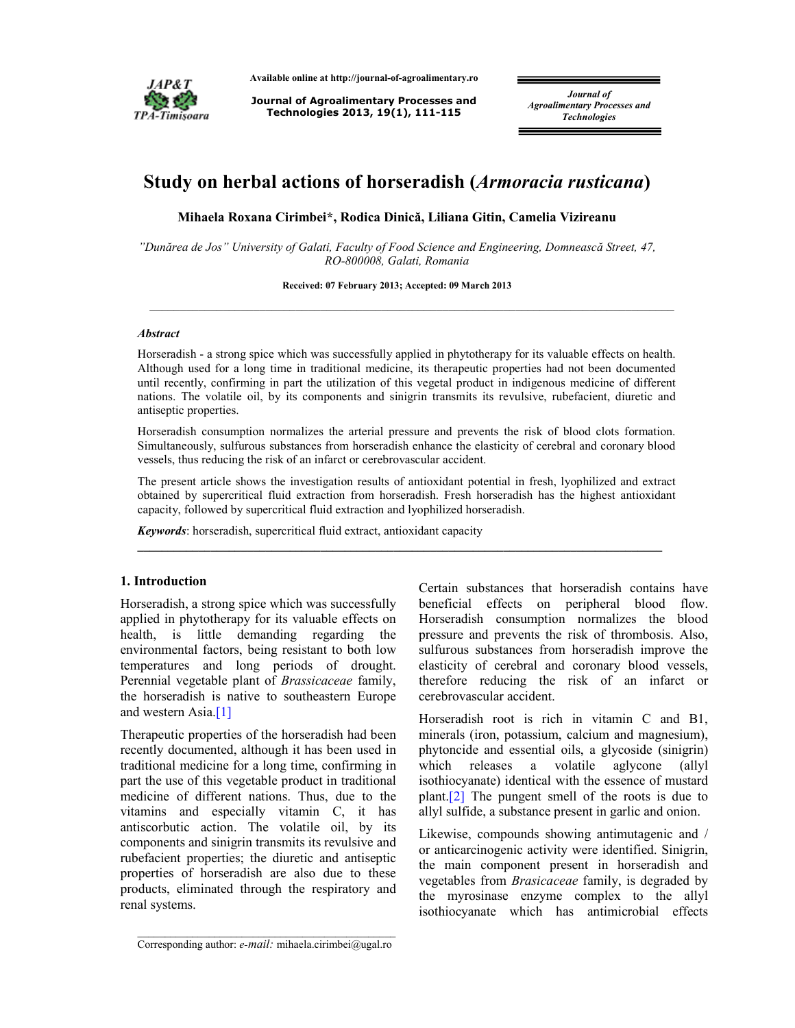

**Available online at http://journal-of-agroalimentary.ro** 

**Journal of Agroalimentary Processes and Technologies 2013, 19(1), 111-115**

*Journal of Agroalimentary Processes and Technologies* 

# **Study on herbal actions of horseradish (***Armoracia rusticana***)**

**Mihaela Roxana Cirimbei\*, Rodica Dinică, Liliana Gitin, Camelia Vizireanu**

*"Dunărea de Jos" University of Galati, Faculty of Food Science and Engineering, Domnească Street, 47, RO-800008, Galati, Romania* 

**Received: 07 February 2013; Accepted: 09 March 2013**

 $\_$  , and the state of the state of the state of the state of the state of the state of the state of the state of the state of the state of the state of the state of the state of the state of the state of the state of the

### *Abstract*

Horseradish - a strong spice which was successfully applied in phytotherapy for its valuable effects on health. Although used for a long time in traditional medicine, its therapeutic properties had not been documented until recently, confirming in part the utilization of this vegetal product in indigenous medicine of different nations. The volatile oil, by its components and sinigrin transmits its revulsive, rubefacient, diuretic and antiseptic properties.

Horseradish consumption normalizes the arterial pressure and prevents the risk of blood clots formation. Simultaneously, sulfurous substances from horseradish enhance the elasticity of cerebral and coronary blood vessels, thus reducing the risk of an infarct or cerebrovascular accident.

The present article shows the investigation results of antioxidant potential in fresh, lyophilized and extract obtained by supercritical fluid extraction from horseradish. Fresh horseradish has the highest antioxidant capacity, followed by supercritical fluid extraction and lyophilized horseradish.

**\_\_\_\_\_\_\_\_\_\_\_\_\_\_\_\_\_\_\_\_\_\_\_\_\_\_\_\_\_\_\_\_\_\_\_\_\_\_\_\_\_\_\_\_\_\_\_\_\_\_\_\_\_\_\_\_\_\_\_\_\_\_\_\_\_\_\_\_\_\_\_\_\_\_\_\_\_\_\_\_\_\_\_\_\_\_** 

*Keywords*: horseradish, supercritical fluid extract, antioxidant capacity

# **1. Introduction**

Horseradish, a strong spice which was successfully applied in phytotherapy for its valuable effects on health, is little demanding regarding the environmental factors, being resistant to both low temperatures and long periods of drought. Perennial vegetable plant of *Brassicaceae* family, the horseradish is native to southeastern Europe and western Asia.[1]

Therapeutic properties of the horseradish had been recently documented, although it has been used in traditional medicine for a long time, confirming in part the use of this vegetable product in traditional medicine of different nations. Thus, due to the vitamins and especially vitamin C, it has antiscorbutic action. The volatile oil, by its components and sinigrin transmits its revulsive and rubefacient properties; the diuretic and antiseptic properties of horseradish are also due to these products, eliminated through the respiratory and renal systems.

Certain substances that horseradish contains have beneficial effects on peripheral blood flow. Horseradish consumption normalizes the blood pressure and prevents the risk of thrombosis. Also, sulfurous substances from horseradish improve the elasticity of cerebral and coronary blood vessels, therefore reducing the risk of an infarct or cerebrovascular accident.

Horseradish root is rich in vitamin C and B1, minerals (iron, potassium, calcium and magnesium), phytoncide and essential oils, a glycoside (sinigrin) which releases a volatile aglycone (allyl isothiocyanate) identical with the essence of mustard plant.[2] The pungent smell of the roots is due to allyl sulfide, a substance present in garlic and onion.

Likewise, compounds showing antimutagenic and / or anticarcinogenic activity were identified. Sinigrin, the main component present in horseradish and vegetables from *Brasicaceae* family, is degraded by the myrosinase enzyme complex to the allyl isothiocyanate which has antimicrobial effects

\_\_\_\_\_\_\_\_\_\_\_\_\_\_\_\_\_\_\_\_\_\_\_\_\_\_\_\_\_\_\_\_\_\_\_\_\_\_\_\_\_\_\_\_\_\_\_ Corresponding author: *e-mail:* mihaela.cirimbei@ugal.ro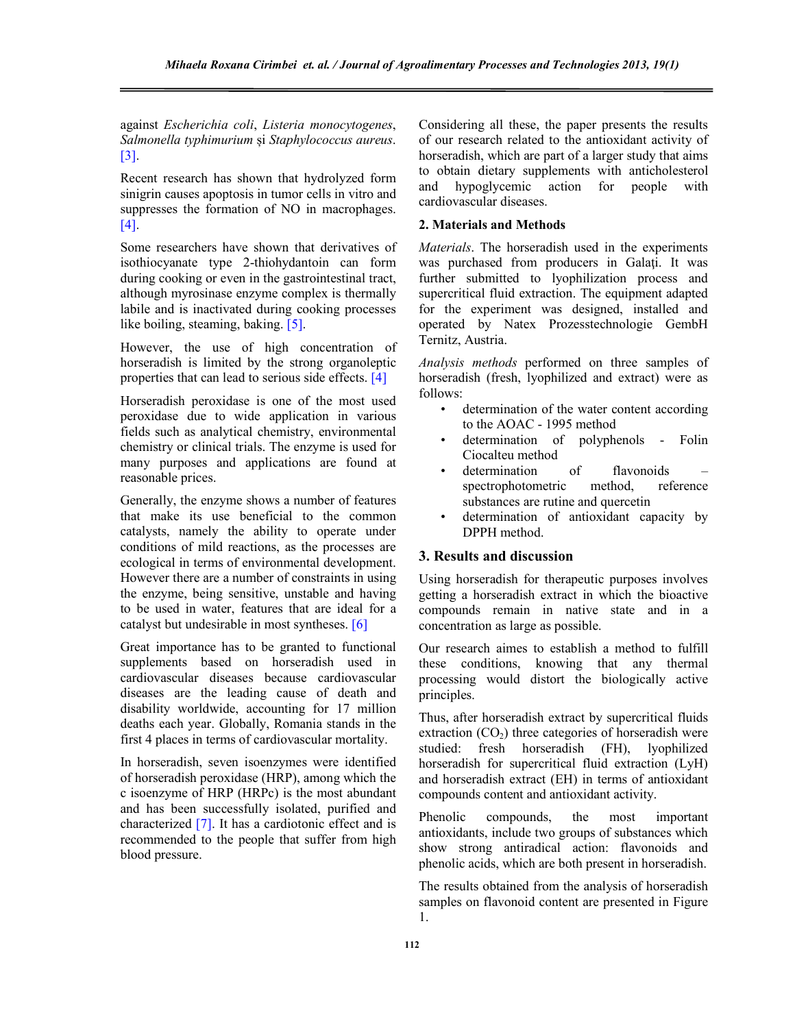against *Escherichia coli*, *Listeria monocytogenes*, *Salmonella typhimurium* și *Staphylococcus aureus*. [3].

Recent research has shown that hydrolyzed form sinigrin causes apoptosis in tumor cells in vitro and suppresses the formation of NO in macrophages. [4].

Some researchers have shown that derivatives of isothiocyanate type 2-thiohydantoin can form during cooking or even in the gastrointestinal tract, although myrosinase enzyme complex is thermally labile and is inactivated during cooking processes like boiling, steaming, baking. [5].

However, the use of high concentration of horseradish is limited by the strong organoleptic properties that can lead to serious side effects. [4]

Horseradish peroxidase is one of the most used peroxidase due to wide application in various fields such as analytical chemistry, environmental chemistry or clinical trials. The enzyme is used for many purposes and applications are found at reasonable prices.

Generally, the enzyme shows a number of features that make its use beneficial to the common catalysts, namely the ability to operate under conditions of mild reactions, as the processes are ecological in terms of environmental development. However there are a number of constraints in using the enzyme, being sensitive, unstable and having to be used in water, features that are ideal for a catalyst but undesirable in most syntheses. [6]

Great importance has to be granted to functional supplements based on horseradish used in cardiovascular diseases because cardiovascular diseases are the leading cause of death and disability worldwide, accounting for 17 million deaths each year. Globally, Romania stands in the first 4 places in terms of cardiovascular mortality.

In horseradish, seven isoenzymes were identified of horseradish peroxidase (HRP), among which the c isoenzyme of HRP (HRPc) is the most abundant and has been successfully isolated, purified and characterized [7]. It has a cardiotonic effect and is recommended to the people that suffer from high blood pressure.

Considering all these, the paper presents the results of our research related to the antioxidant activity of horseradish, which are part of a larger study that aims to obtain dietary supplements with anticholesterol and hypoglycemic action for people with cardiovascular diseases.

## **2. Materials and Methods**

*Materials*. The horseradish used in the experiments was purchased from producers in Galaţi. It was further submitted to lyophilization process and supercritical fluid extraction. The equipment adapted for the experiment was designed, installed and operated by Natex Prozesstechnologie GembH Ternitz, Austria.

*Analysis methods* performed on three samples of horseradish (fresh, lyophilized and extract) were as follows:

- determination of the water content according to the AOAC - 1995 method
- determination of polyphenols Folin Ciocalteu method
- determination of flavonoids spectrophotometric method, reference substances are rutine and quercetin
- determination of antioxidant capacity by DPPH method.

# **3. Results and discussion**

Using horseradish for therapeutic purposes involves getting a horseradish extract in which the bioactive compounds remain in native state and in a concentration as large as possible.

Our research aimes to establish a method to fulfill these conditions, knowing that any thermal processing would distort the biologically active principles.

Thus, after horseradish extract by supercritical fluids extraction  $(CO_2)$  three categories of horseradish were<br>studied: fresh horseradish  $(FH)$ . lyophilized fresh horseradish  $(FH)$ , horseradish for supercritical fluid extraction (LyH) and horseradish extract (EH) in terms of antioxidant compounds content and antioxidant activity.

Phenolic compounds, the most important antioxidants, include two groups of substances which show strong antiradical action: flavonoids and phenolic acids, which are both present in horseradish.

The results obtained from the analysis of horseradish samples on flavonoid content are presented in Figure 1.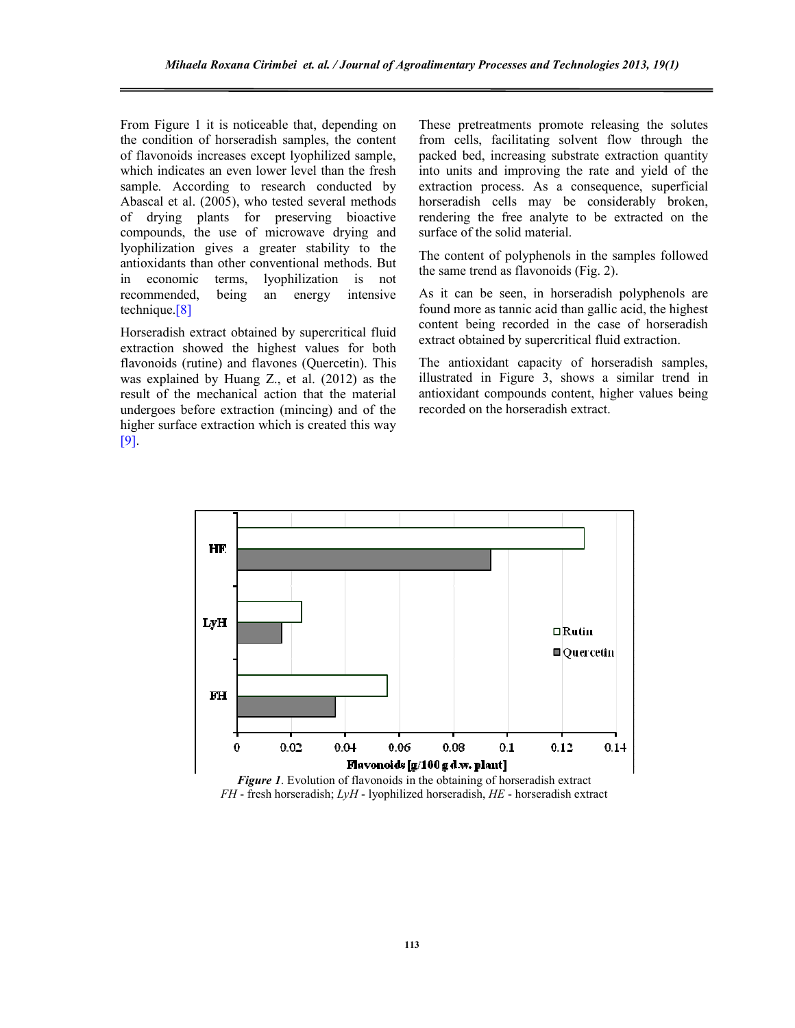From Figure 1 it is noticeable that, depending on the condition of horseradish samples, the content of flavonoids increases except lyophilized sample, which indicates an even lower level than the fresh sample. According to research conducted by Abascal et al. (2005), who tested several methods of drying plants for preserving bioactive compounds, the use of microwave drying and lyophilization gives a greater stability to the antioxidants than other conventional methods. But in economic terms, lyophilization is not recommended, being an energy intensive technique.[8]

Horseradish extract obtained by supercritical fluid extraction showed the highest values for both flavonoids (rutine) and flavones (Quercetin). This was explained by Huang Z., et al. (2012) as the result of the mechanical action that the material undergoes before extraction (mincing) and of the higher surface extraction which is created this way [9].

These pretreatments promote releasing the solutes from cells, facilitating solvent flow through the packed bed, increasing substrate extraction quantity into units and improving the rate and yield of the extraction process. As a consequence, superficial horseradish cells may be considerably broken, rendering the free analyte to be extracted on the surface of the solid material.

The content of polyphenols in the samples followed the same trend as flavonoids (Fig. 2).

As it can be seen, in horseradish polyphenols are found more as tannic acid than gallic acid, the highest content being recorded in the case of horseradish extract obtained by supercritical fluid extraction.

The antioxidant capacity of horseradish samples, illustrated in Figure 3, shows a similar trend in antioxidant compounds content, higher values being recorded on the horseradish extract.



*Figure 1*. Evolution of flavonoids in the obtaining of horseradish extract *FH* - fresh horseradish; *LyH* - lyophilized horseradish, *HE* - horseradish extract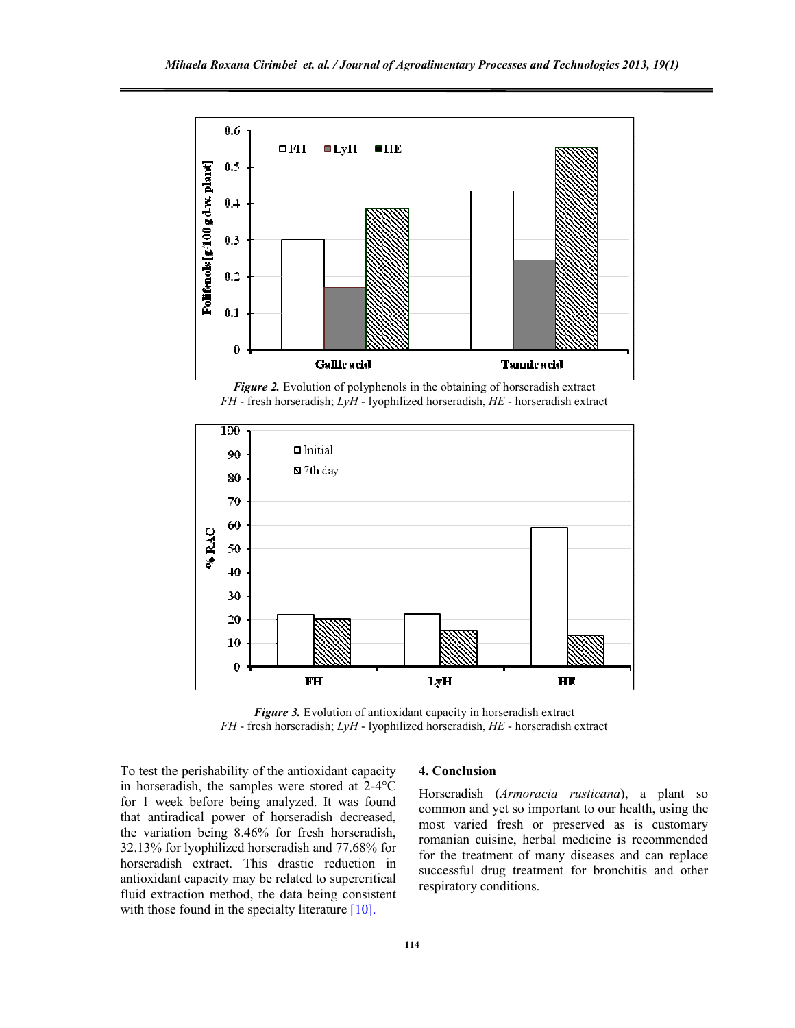

*Figure 2.* Evolution of polyphenols in the obtaining of horseradish extract *FH* - fresh horseradish; *LyH* - lyophilized horseradish, *HE* - horseradish extract



*Figure 3.* Evolution of antioxidant capacity in horseradish extract *FH* - fresh horseradish; *LyH* - lyophilized horseradish, *HE* - horseradish extract

To test the perishability of the antioxidant capacity in horseradish, the samples were stored at 2-4°C for 1 week before being analyzed. It was found that antiradical power of horseradish decreased, the variation being 8.46% for fresh horseradish, 32.13% for lyophilized horseradish and 77.68% for horseradish extract. This drastic reduction in antioxidant capacity may be related to supercritical fluid extraction method, the data being consistent with those found in the specialty literature [10].

#### **4. Conclusion**

Horseradish (*Armoracia rusticana*), a plant so common and yet so important to our health, using the most varied fresh or preserved as is customary romanian cuisine, herbal medicine is recommended for the treatment of many diseases and can replace successful drug treatment for bronchitis and other respiratory conditions.